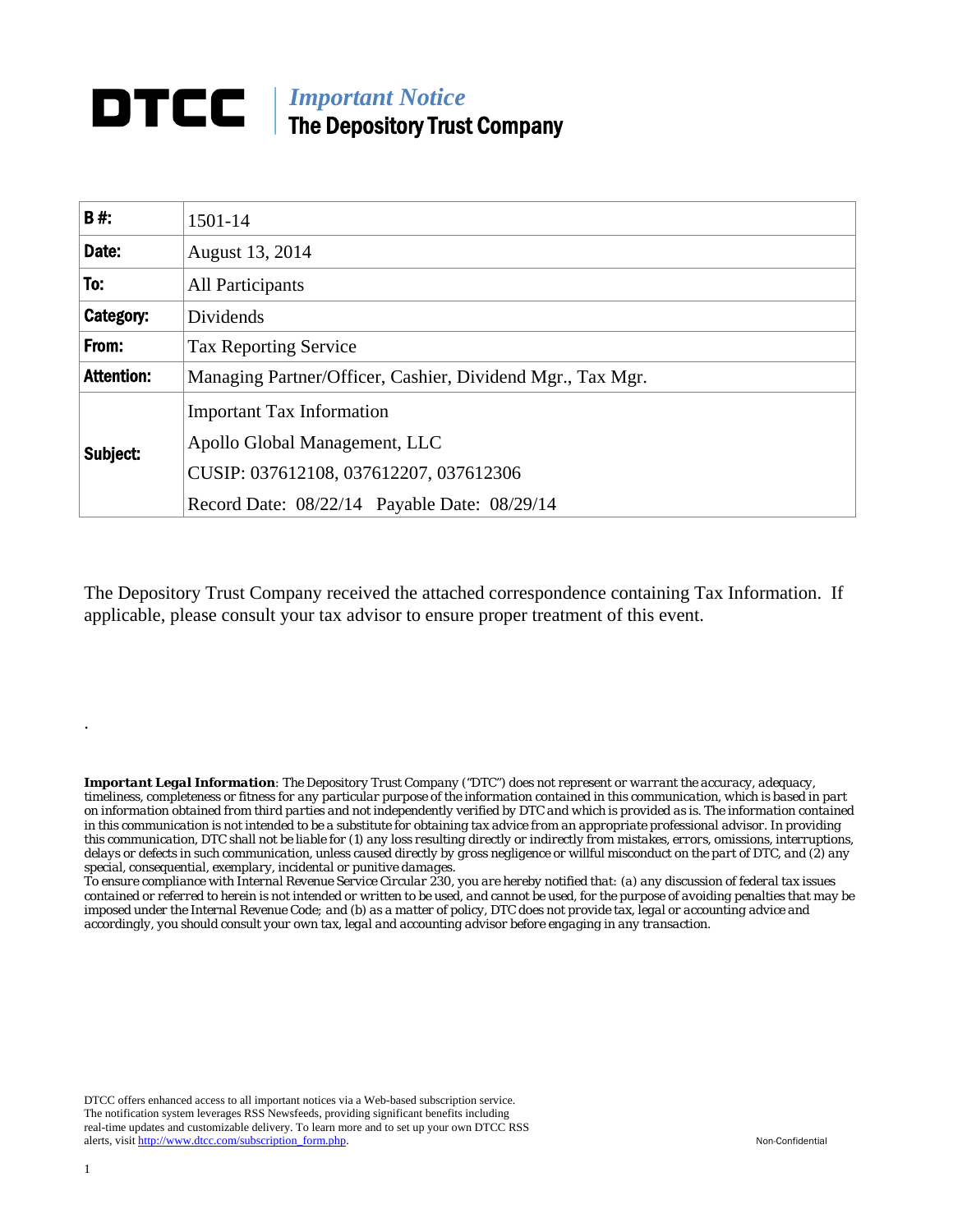## *Important Notice*  DTCC | The Depository Trust Company

| <b>B#:</b>        | 1501-14                                                                                                                                                     |
|-------------------|-------------------------------------------------------------------------------------------------------------------------------------------------------------|
| Date:             | August 13, 2014                                                                                                                                             |
| To:               | <b>All Participants</b>                                                                                                                                     |
| Category:         | Dividends                                                                                                                                                   |
| From:             | <b>Tax Reporting Service</b>                                                                                                                                |
| <b>Attention:</b> | Managing Partner/Officer, Cashier, Dividend Mgr., Tax Mgr.                                                                                                  |
| Subject:          | <b>Important Tax Information</b><br>Apollo Global Management, LLC<br>CUSIP: 037612108, 037612207, 037612306<br>Record Date: 08/22/14 Payable Date: 08/29/14 |

The Depository Trust Company received the attached correspondence containing Tax Information. If applicable, please consult your tax advisor to ensure proper treatment of this event.

*Important Legal Information: The Depository Trust Company ("DTC") does not represent or warrant the accuracy, adequacy, timeliness, completeness or fitness for any particular purpose of the information contained in this communication, which is based in part on information obtained from third parties and not independently verified by DTC and which is provided as is. The information contained in this communication is not intended to be a substitute for obtaining tax advice from an appropriate professional advisor. In providing this communication, DTC shall not be liable for (1) any loss resulting directly or indirectly from mistakes, errors, omissions, interruptions, delays or defects in such communication, unless caused directly by gross negligence or willful misconduct on the part of DTC, and (2) any special, consequential, exemplary, incidental or punitive damages.* 

*To ensure compliance with Internal Revenue Service Circular 230, you are hereby notified that: (a) any discussion of federal tax issues contained or referred to herein is not intended or written to be used, and cannot be used, for the purpose of avoiding penalties that may be imposed under the Internal Revenue Code; and (b) as a matter of policy, DTC does not provide tax, legal or accounting advice and accordingly, you should consult your own tax, legal and accounting advisor before engaging in any transaction.*

DTCC offers enhanced access to all important notices via a Web-based subscription service. The notification system leverages RSS Newsfeeds, providing significant benefits including real-time updates and customizable delivery. To learn more and to set up your own DTCC RSS alerts, visit http://www.dtcc.com/subscription\_form.php. Non-Confidential

.